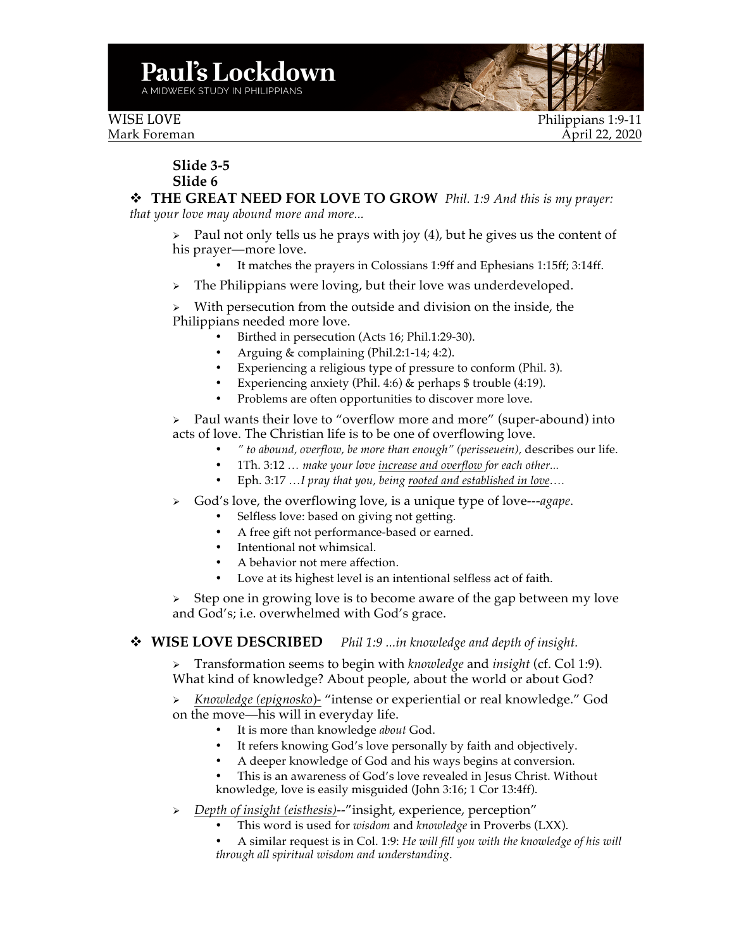WISE LOVE Philippians 1:9-11 Mark Foreman April 22, 2020

## **Slide 3-5 Slide 6**

v **THE GREAT NEED FOR LOVE TO GROW** *Phil. 1:9 And this is my prayer: that your love may abound more and more...*

 $\triangleright$  Paul not only tells us he prays with joy (4), but he gives us the content of his prayer—more love.

- It matches the prayers in Colossians 1:9ff and Ephesians 1:15ff; 3:14ff.
- $\triangleright$  The Philippians were loving, but their love was underdeveloped.

 $\triangleright$  With persecution from the outside and division on the inside, the Philippians needed more love.

- Birthed in persecution (Acts 16; Phil.1:29-30).
- Arguing & complaining (Phil.2:1-14; 4:2).
- Experiencing a religious type of pressure to conform (Phil. 3).
- Experiencing anxiety (Phil. 4:6) & perhaps \$ trouble (4:19).
- Problems are often opportunities to discover more love.

 $\triangleright$  Paul wants their love to "overflow more and more" (super-abound) into acts of love. The Christian life is to be one of overflowing love.

- *" to abound, overflow, be more than enough" (perisseuein),* describes our life.
- 1Th. 3:12 *… make your love increase and overflow for each other...*
- Eph. 3:17 *…I pray that you, being rooted and established in love….*
- Ø God's love, the overflowing love, is a unique type of love---*agape*.
	- Selfless love: based on giving not getting.
	- A free gift not performance-based or earned.
	- Intentional not whimsical.
	- A behavior not mere affection.
	- Love at its highest level is an intentional selfless act of faith.

 $\triangleright$  Step one in growing love is to become aware of the gap between my love and God's; i.e. overwhelmed with God's grace.

## v **WISE LOVE DESCRIBED** *Phil 1:9 ...in knowledge and depth of insight.*

Ø Transformation seems to begin with *knowledge* and *insight* (cf. Col 1:9). What kind of knowledge? About people, about the world or about God?

Ø *Knowledge (epignosko*)- "intense or experiential or real knowledge." God on the move—his will in everyday life.

- It is more than knowledge *about* God.
- It refers knowing God's love personally by faith and objectively.
- A deeper knowledge of God and his ways begins at conversion.
- This is an awareness of God's love revealed in Jesus Christ. Without knowledge, love is easily misguided (John 3:16; 1 Cor 13:4ff).
- Ø *Depth of insight (eisthesis)*--"insight, experience, perception"
	- This word is used for *wisdom* and *knowledge* in Proverbs (LXX).
	- A similar request is in Col. 1:9: *He will fill you with the knowledge of his will through all spiritual wisdom and understanding*.